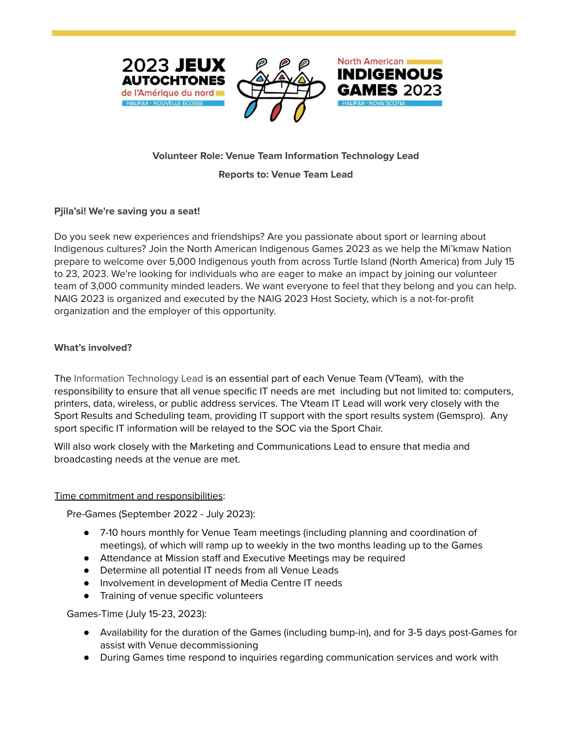



**North American** 

**INDIGENOUS** 

# **Volunteer Role: Venue Team Information Technology Lead**

#### **Reports to: Venue Team Lead**

### **Pjila'si! We're saving you a seat!**

Do you seek new experiences and friendships? Are you passionate about sport or learning about Indigenous cultures? Join the North American Indigenous Games 2023 as we help the Mi'kmaw Nation prepare to welcome over 5,000 Indigenous youth from across Turtle Island (North America) from July 15 to 23, 2023. We're looking for individuals who are eager to make an impact by joining our volunteer team of 3,000 community minded leaders. We want everyone to feel that they belong and you can help. NAIG 2023 is organized and executed by the NAIG 2023 Host Society, which is a not-for-profit organization and the employer of this opportunity.

### **What's involved?**

The Information Technology Lead is an essential part of each Venue Team (VTeam), with the responsibility to ensure that all venue specific IT needs are met including but not limited to: computers, printers, data, wireless, or public address services. The Vteam IT Lead will work very closely with the Sport Results and Scheduling team, providing IT support with the sport results system (Gemspro). Any sport specific IT information will be relayed to the SOC via the Sport Chair.

Will also work closely with the Marketing and Communications Lead to ensure that media and broadcasting needs at the venue are met.

### Time commitment and responsibilities:

Pre-Games (September 2022 - July 2023):

- 7-10 hours monthly for Venue Team meetings (including planning and coordination of meetings), of which will ramp up to weekly in the two months leading up to the Games
- Attendance at Mission staff and Executive Meetings may be required
- Determine all potential IT needs from all Venue Leads
- Involvement in development of Media Centre IT needs
- Training of venue specific volunteers

Games-Time (July 15-23, 2023):

- Availability for the duration of the Games (including bump-in), and for 3-5 days post-Games for assist with Venue decommissioning
- During Games time respond to inquiries regarding communication services and work with